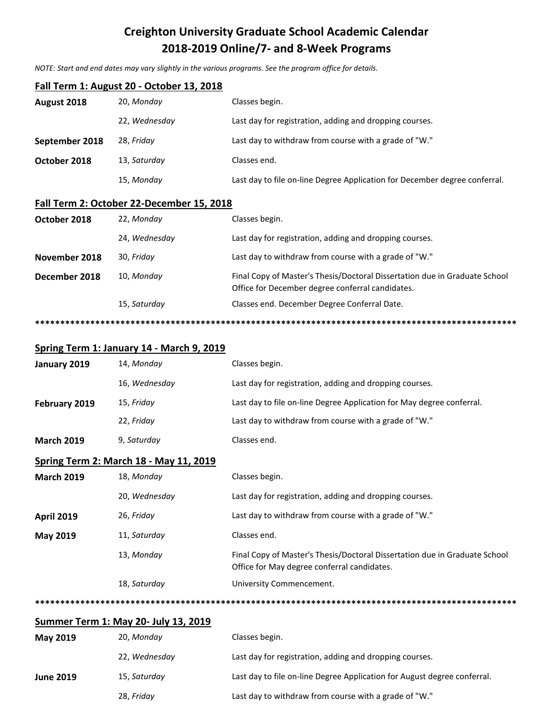## **Creighton University Graduate School Academic Calendar 2018-2019 Online/7- and 8-Week Programs**

*NOTE: Start and end dates may vary slightly in the various programs. See the program office for details.*

| Fall Term 1: August 20 - October 13, 2018   |                                           |                                                                                                                                |  |  |  |
|---------------------------------------------|-------------------------------------------|--------------------------------------------------------------------------------------------------------------------------------|--|--|--|
| August 2018                                 | 20, Monday                                | Classes begin.                                                                                                                 |  |  |  |
|                                             | 22, Wednesday                             | Last day for registration, adding and dropping courses.                                                                        |  |  |  |
| September 2018                              | 28, Friday                                | Last day to withdraw from course with a grade of "W."                                                                          |  |  |  |
| October 2018                                | 13, Saturday                              | Classes end.                                                                                                                   |  |  |  |
|                                             | 15, Monday                                | Last day to file on-line Degree Application for December degree conferral.                                                     |  |  |  |
|                                             | Fall Term 2: October 22-December 15, 2018 |                                                                                                                                |  |  |  |
| October 2018                                | 22, Monday                                | Classes begin.                                                                                                                 |  |  |  |
|                                             | 24, Wednesday                             | Last day for registration, adding and dropping courses.                                                                        |  |  |  |
| November 2018                               | 30, Friday                                | Last day to withdraw from course with a grade of "W."                                                                          |  |  |  |
| December 2018                               | 10, Monday                                | Final Copy of Master's Thesis/Doctoral Dissertation due in Graduate School<br>Office for December degree conferral candidates. |  |  |  |
|                                             | 15, Saturday                              | Classes end. December Degree Conferral Date.                                                                                   |  |  |  |
|                                             |                                           |                                                                                                                                |  |  |  |
|                                             | Spring Term 1: January 14 - March 9, 2019 |                                                                                                                                |  |  |  |
| January 2019                                | 14, Monday                                | Classes begin.                                                                                                                 |  |  |  |
|                                             | 16, Wednesday                             | Last day for registration, adding and dropping courses.                                                                        |  |  |  |
| February 2019                               | 15, Friday                                | Last day to file on-line Degree Application for May degree conferral.                                                          |  |  |  |
|                                             | 22, Friday                                | Last day to withdraw from course with a grade of "W."                                                                          |  |  |  |
| <b>March 2019</b>                           | 9, Saturday                               | Classes end.                                                                                                                   |  |  |  |
| Spring Term 2: March 18 - May 11, 2019      |                                           |                                                                                                                                |  |  |  |
| <b>March 2019</b>                           | 18, Monday                                | Classes begin.                                                                                                                 |  |  |  |
|                                             | 20, Wednesday                             | Last day for registration, adding and dropping courses.                                                                        |  |  |  |
| <b>April 2019</b>                           | 26, Friday                                | Last day to withdraw from course with a grade of "W."                                                                          |  |  |  |
| <b>May 2019</b>                             | 11, Saturday                              | Classes end.                                                                                                                   |  |  |  |
|                                             | 13, Monday                                | Final Copy of Master's Thesis/Doctoral Dissertation due in Graduate School<br>Office for May degree conferral candidates.      |  |  |  |
|                                             | 18, Saturday                              | University Commencement.                                                                                                       |  |  |  |
|                                             |                                           |                                                                                                                                |  |  |  |
| <b>Summer Term 1: May 20- July 13, 2019</b> |                                           |                                                                                                                                |  |  |  |
| <b>May 2019</b>                             | 20, Monday                                | Classes begin.                                                                                                                 |  |  |  |
|                                             | 22, Wednesday                             | Last day for registration, adding and dropping courses.                                                                        |  |  |  |

| June 2019 | 15, Saturday | Last day to file on-line Degree Application for August degree conferral. |
|-----------|--------------|--------------------------------------------------------------------------|
|           | 28, Friday   | Last day to withdraw from course with a grade of "W."                    |